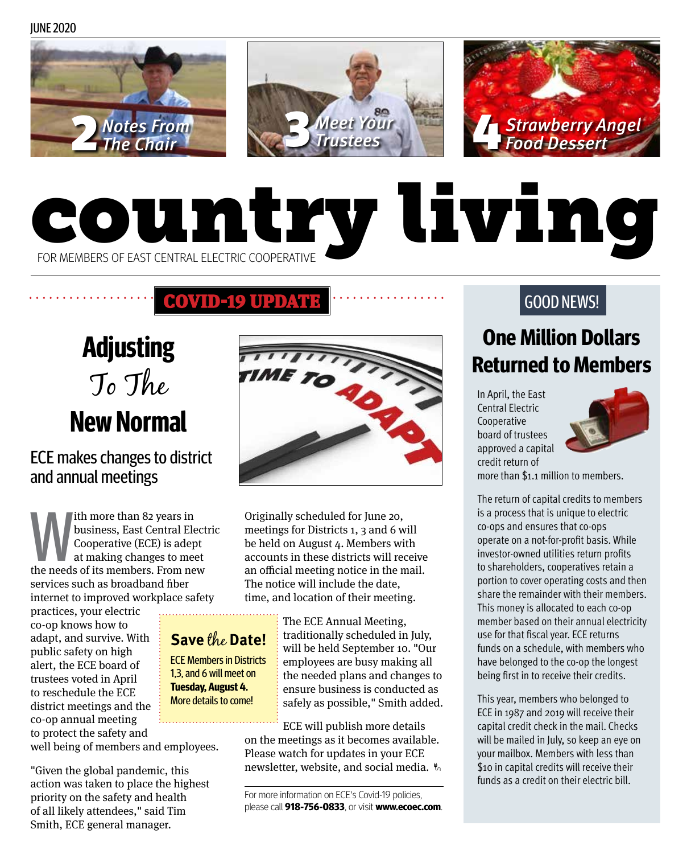JUNE 2020







# country living FOR MEMBERS OF EAST CENTRAL ELECTRIC COOPERATIVE

## COVID-19 UPDATE

**Adjusting**  To The **New Normal**

ECE makes changes to district and annual meetings

th more than 82 years in<br>business, East Central Elect<br>Cooperative (ECE) is adept<br>at making changes to meet<br>the needs of its members. From new business, East Central Electric Cooperative (ECE) is adept at making changes to meet services such as broadband fiber internet to improved workplace safety

practices, your electric co-op knows how to adapt, and survive. With public safety on high alert, the ECE board of trustees voted in April to reschedule the ECE district meetings and the co-op annual meeting to protect the safety and

### **Save** the **Date!**

ECE Members in Districts 1,3, and 6 will meet on **Tuesday, August 4.** More details to come!

well being of members and employees.

"Given the global pandemic, this action was taken to place the highest priority on the safety and health of all likely attendees," said Tim Smith, ECE general manager.



Originally scheduled for June 20, meetings for Districts 1, 3 and 6 will be held on August 4. Members with accounts in these districts will receive an official meeting notice in the mail. The notice will include the date, time, and location of their meeting.

> The ECE Annual Meeting, traditionally scheduled in July, will be held September 10. "Our employees are busy making all the needed plans and changes to ensure business is conducted as safely as possible," Smith added.

ECE will publish more details on the meetings as it becomes available. Please watch for updates in your ECE newsletter, website, and social media.

For more information on ECE's Covid-19 policies, please call **918-756-0833**, or visit **www.ecoec.com**.

## GOOD NEWS!

# **One Million Dollars Returned to Members**

In April, the East Central Electric Cooperative board of trustees approved a capital credit return of



more than \$1.1 million to members.

The return of capital credits to members is a process that is unique to electric co-ops and ensures that co-ops operate on a not-for-profit basis. While investor-owned utilities return profits to shareholders, cooperatives retain a portion to cover operating costs and then share the remainder with their members. This money is allocated to each co-op member based on their annual electricity use for that fiscal year. ECE returns funds on a schedule, with members who have belonged to the co-op the longest being first in to receive their credits.

This year, members who belonged to ECE in 1987 and 2019 will receive their capital credit check in the mail. Checks will be mailed in July, so keep an eye on your mailbox. Members with less than \$10 in capital credits will receive their funds as a credit on their electric bill.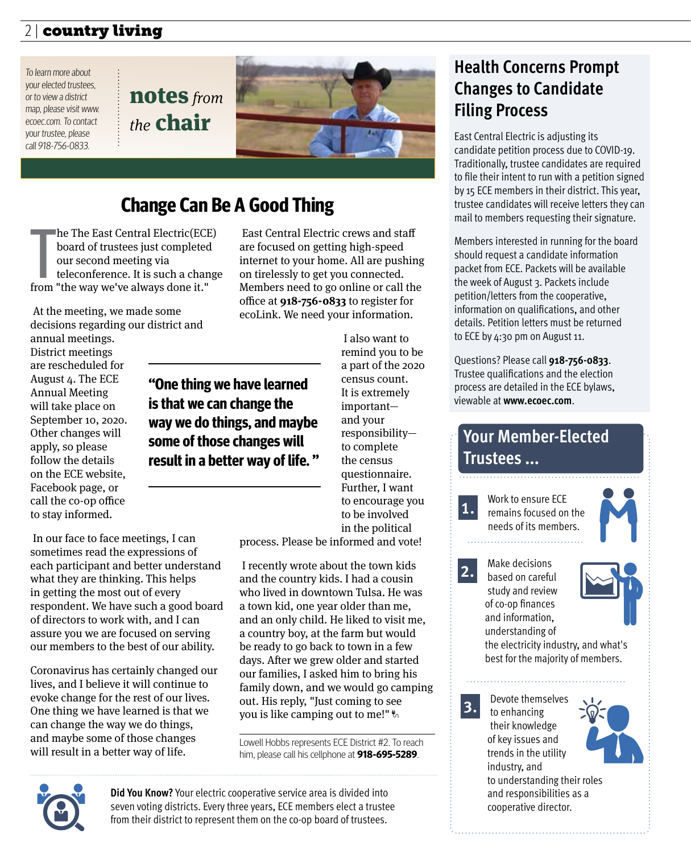### $2$  | country living  $\overline{\phantom{a}}$

To learn more about your elected trustees, or to view a district map, please visit www. ecoec.com. To contact your trustee, please call 918-756-0833.

notes *from the* chair



# **Change Can Be A Good Thing**

he The East Central Electric(ECI<br>board of trustees just completed<br>our second meeting via<br>teleconference. It is such a char<br>from "the way we've always done it." he The East Central Electric(ECE) board of trustees just completed our second meeting via teleconference. It is such a change

 At the meeting, we made some decisions regarding our district and annual meetings.

District meetings are rescheduled for August 4. The ECE Annual Meeting will take place on September 10, 2020. Other changes will apply, so please follow the details on the ECE website, Facebook page, or call the co-op office to stay informed.

 East Central Electric crews and staff are focused on getting high-speed internet to your home. All are pushing on tirelessly to get you connected. Members need to go online or call the office at **918-756-0833** to register for ecoLink. We need your information.

**"One thing we have learned is that we can change the way we do things, and maybe some of those changes will result in a better way of life. "**

 In our face to face meetings, I can sometimes read the expressions of each participant and better understand what they are thinking. This helps in getting the most out of every respondent. We have such a good board of directors to work with, and I can

Coronavirus has certainly changed our lives, and I believe it will continue to evoke change for the rest of our lives. One thing we have learned is that we can change the way we do things, and maybe some of those changes will result in a better way of life.

assure you we are focused on serving our members to the best of our ability. remind you to be a part of the 2020 census count. It is extremely important and your responsibility to complete the census questionnaire. Further, I want to encourage you to be involved in the political

I also want to

process. Please be informed and vote!

 I recently wrote about the town kids and the country kids. I had a cousin who lived in downtown Tulsa. He was a town kid, one year older than me, and an only child. He liked to visit me, a country boy, at the farm but would be ready to go back to town in a few days. After we grew older and started our families, I asked him to bring his family down, and we would go camping out. His reply, "Just coming to see you is like camping out to me!"

Lowell Hobbs represents ECE District #2. To reach him, please call his cellphone at **918-695-5289**.

# **Health Concerns Prompt Changes to Candidate Filing Process**

East Central Electric is adjusting its candidate petition process due to COVID-19. Traditionally, trustee candidates are required to file their intent to run with a petition signed by 15 ECE members in their district. This year, trustee candidates will receive letters they can mail to members requesting their signature.

Members interested in running for the board should request a candidate information packet from ECE. Packets will be available the week of August 3. Packets include petition/letters from the cooperative, information on qualifications, and other details. Petition letters must be returned to ECE by 4:30 pm on August 11.

Questions? Please call **918-756-0833**. Trustee qualifications and the election process are detailed in the ECE bylaws, viewable at **www.ecoec.com**.

# **Your Member-Elected Trustees ...**

**1.** Work to ensure ECE remains focused on the needs of its members.

**2.** Make decisions based on careful study and review of co-op finances and information, understanding of



the electricity industry, and what's best for the majority of members.

Devote themselves to enhancing their knowledge of key issues and trends in the utility industry, and to understanding their roles and responsibilities as a cooperative director. **3.**



**Did You Know?** Your electric cooperative service area is divided into seven voting districts. Every three years, ECE members elect a trustee from their district to represent them on the co-op board of trustees.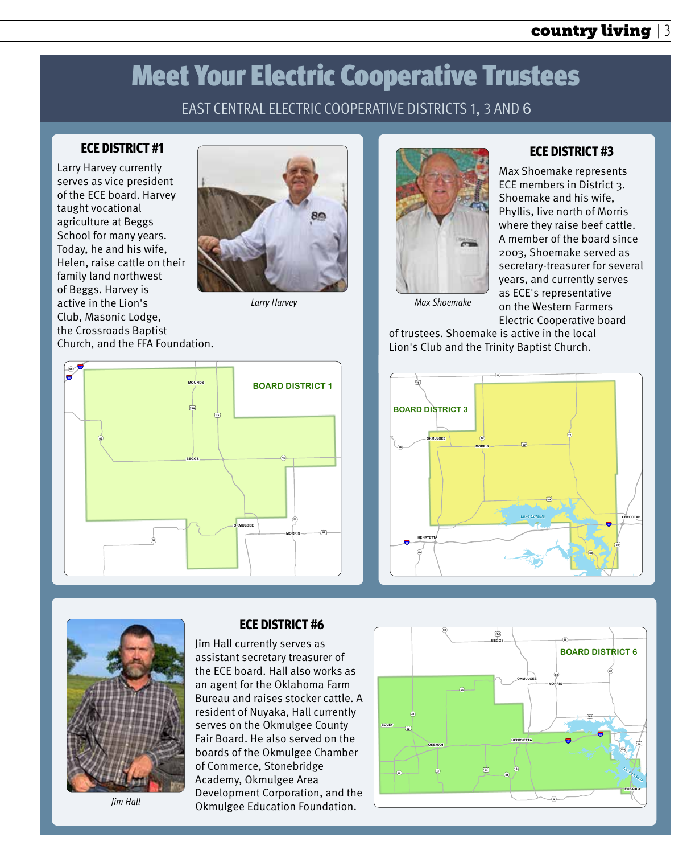#### 2 | country living country living | 3

# Meet Your Electric Cooperative Trustees

### EAST CENTRAL ELECTRIC COOPERATIVE DISTRICTS 1, 3 AND 6

#### **ECE DISTRICT #1**

Larry Harvey currently serves as vice president of the ECE board. Harvey taught vocational agriculture at Beggs School for many years. Today, he and his wife, Helen, raise cattle on their family land northwest of Beggs. Harvey is active in the Lion's Club, Masonic Lodge, the Crossroads Baptist Church, and the FFA Foundation.







#### **ECE DISTRICT #3**

Max Shoemake represents ECE members in District 3. Shoemake and his wife, Phyllis, live north of Morris where they raise beef cattle. A member of the board since 2003, Shoemake served as secretary-treasurer for several years, and currently serves as ECE's representative on the Western Farmers Electric Cooperative board

of trustees. Shoemake is active in the local Lion's Club and the Trinity Baptist Church.





*Jim Hall*

#### **ECE DISTRICT #6**

Jim Hall currently serves as assistant secretary treasurer of the ECE board. Hall also works as an agent for the Oklahoma Farm Bureau and raises stocker cattle. A resident of Nuyaka, Hall currently serves on the Okmulgee County Fair Board. He also served on the boards of the Okmulgee Chamber of Commerce, Stonebridge Academy, Okmulgee Area Development Corporation, and the Okmulgee Education Foundation.